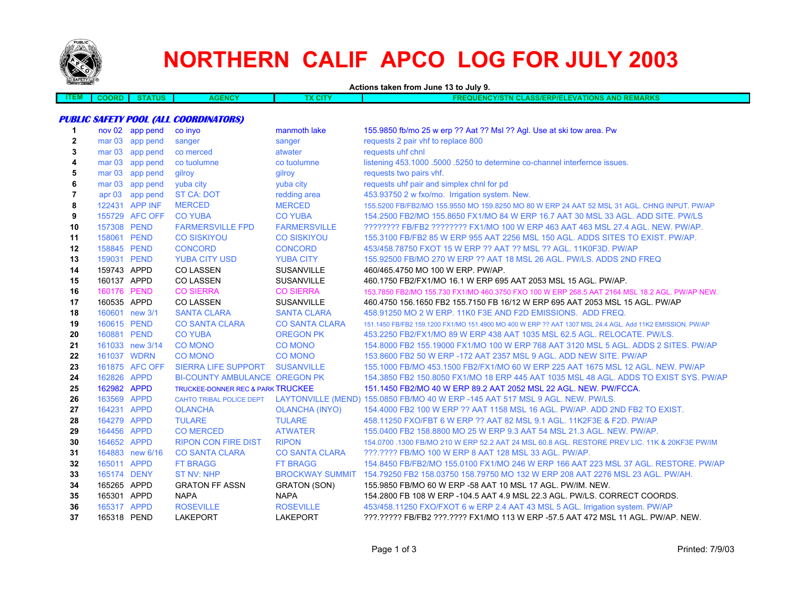

## **NORTHERN CALIF APCO LOG FOR JULY 2003**

**Actions taken from June 13 to July 9. ITEM COORD STATUS AGENCY TX CITY FREQUENCY/STN CLASS/ERP/ELEVATIONS AND REMARKS PUBLIC SAFETY POOL (ALL COORDINATORS) 1** nov 02 app pend co inyo manmoth lake 155.9850 fb/mo 25 w erp ?? Aat ?? Msl ?? Agl. Use at ski tow area. Pw **2**mar 03 app pend sanger sanger sanger sanger requests 2 pair vhf to replace 800 **3**mar 03 app pend co merced atwater requests uhf chnl **4**mar 03 app pend co tuolumne co tuolumne co tuolumne listening 453.1000 .5000 .5250 to determine co-channel interfernce issues. **5**mar 03 app pend gilroy gilroy gilroy gilroy requests two pairs vhf. **6**mar 03 app pend yuba city yuba city yuba city requests uhf pair and simplex chnl for pd **7**apr 03 app pend ST CA: DOT redding area 453.93750 2 w fxo/mo. Irrigation system. New. **8** 122431 APP INFMERCED MERCED 155.5200 FB/FB2/MO 155.9550 MO 159.8250 MO 80 W ERP 24 AAT 52 MSL 31 AGL. CHNG INPUT. PW/AP **9** 155729 AFC OFF CO YUBA CO YUBA 154.2500 FB2/MO 155.8650 FX1/MO 84 W ERP 16.7 AAT 30 MSL 33 AGL. ADD SITE. PW/LS**10** 157308 PEND FARMERSVILLE FPD FARMERSVILLE ???????? FB/FB2 ???????? FX1/MO 100 W ERP 463 AAT 463 MSL 27.4 AGL. NEW. PW/AP. **11** 158061 PEND CO SISKIYOU CO SISKIYOU 155.3100 FB/FB2 85 W ERP 955 AAT 2256 MSL 150 AGL. ADDS SITES TO EXIST. PW/AP. **12** 158845 PEND CONCORD CONCORD 453/458.78750 FXOT 15 W ERP ?? AAT ?? MSL ?? AGL. 11K0F3D. PW/AP **13** 159031 PEND YUBA CITY USD YUBA CITY 155.92500 FB/MO 270 W ERP ?? AAT 18 MSL 26 AGL. PW/LS. ADDS 2ND FREQ**14** 159743 APPD CO LASSEN SUSANVILLE 460/465.4750 MO 100 W ERP. PW/AP. **15**160137 APPD COLASSEN SUSANVILLE 460.1750 FB2/FX1/MO 16.1 W ERP 695 AAT 2053 MSL 15 AGL. PW/AP. **16** 160176 PEND CO SIERRA CO SIERRA 153.7850 FB2/MO 155.730 FX1/MO 460.3750 FXO 100 W ERP 268.5 AAT 2164 MSL 18.2 AGL. PW/AP NEW. **17** 160535 APPD CO LASSEN SUSANVILLE 460.4750 156.1650 FB2 155.7150 FB 16/12 W ERP 695 AAT 2053 MSL 15 AGL. PW/AP **18** 160601 new 3/1 SANTA CLARA SANTA CLARA 458.91250 MO 2 W ERP. 11K0 F3E AND F2D EMISSIONS. ADD FREQ. **19** 160615 PEND CO SANTA CLARA CO SANTA CLARA 151.1450 FB/FB2 159.1200 FX1/MO 151.4900 MO 400 W ERP ?? AAT 1307 MSL 24.4 AGL. Add 11K2 EMISSION. PW/AP **20** 160881 PEND CO YUBA OREGON PK 453.2250 FB2/FX1/MO 89 W ERP 438 AAT 1035 MSL 62.5 AGL. RELOCATE. PW/LS. **21** 161033 new 3/14 CO MONO CO MONO 154.8000 FB2 155.19000 FX1/MO 100 W ERP 768 AAT 3120 MSL 5 AGL. ADDS 2 SITES. PW/AP**22**161037 WDRN CO MONO CO MONO 153.8600 FB2 50 W ERP -172 AAT 2357 MSL 9 AGL. ADD NEW SITE. PW/AP **23** 161875 AFC OFF SIERRA LIFE SUPPORT SUSANVILLE 155.1000 FB/MO 453.1500 FB2/FX1/MO 60 W ERP 225 AAT 1675 MSL 12 AGL. NEW. PW/AP**24** 162826 APPD BI-COUNTY AMBULANCE OREGON PK 154.3850 FB2 150.8050 FX1/MO 18 ERP 445 AAT 1035 MSL 48 AGL. ADDS TO EXIST SYS. PW/AP**25** 162982 APPD TRUCKEE-DONNER REC & PARK TRUCKEE 151.1450 FB2/MO 40 W ERP 89.2 AAT 2052 MSL 22 AGL. NEW. PW/FCCA. **26** 163569 APPD CAHTO TRIBAL POLICE DEPT LAYTONVILLE (MEND) 155.0850 FB/MO 40 W ERP -145 AAT 517 MSL 9 AGL. NEW. PW/LS. **27** 164231 APPD OLANCHA OLANCHA (INYO) 154.4000 FB2 100 W ERP ?? AAT 1158 MSL 16 AGL. PW/AP. ADD 2ND FB2 TO EXIST. **28**164279 APPD TULARE TULARE 458.11250 FXO/FBT 6 W ERP ?? AAT 82 MSL 9.1 AGL. 11K2F3E & F2D. PW/AP **29** 164456 APPD CO MERCED ATWATER 155.0400 FB2 158.8800 MO 25 W ERP 9.3 AAT 54 MSL 21.3 AGL. NEW. PW/AP. **30** 164652 APPD RIPON CON FIRE DIST RIPON 154.0700 .1300 FB/MO 210 W ERP 52.2 AAT 24 MSL 60.8 AGL. RESTORE PREV LIC. 11K & 20KF3E PW/IM**31** 164883 new 6/16 CO SANTA CLARA CO SANTA CLARA ???.???? FB/MO 100 W ERP 8 AAT 128 MSL 33 AGL. PW/AP. **32**165011 APPD FT BRAGG FT BRAGG 154.8450 FB/FB2/MO 155.0100 FX1/MO 246 W ERP 166 AAT 223 MSL 37 AGL. RESTORE. PW/AP **33** 165174 DENY ST NV: NHP BROCKWAY SUMMIT 154.79250 FB2 158.03750 158.79750 MO 132 W ERP 208 AAT 2276 MSL 23 AGL. PW/AH. **34** 165265 APPD GRATON FF ASSN GRATON (SON) 155.9850 FB/MO 60 W ERP -58 AAT 10 MSL 17 AGL. PW/IM. NEW. **35** 165301 APPD NAPA NAPA 154.2800 FB 108 W ERP -104.5 AAT 4.9 MSL 22.3 AGL. PW/LS. CORRECT COORDS. **36**165317 APPD ROSEVILLE ROSEVILLE 453/458.11250 FXO/FXOT 6 w ERP 2.4 AAT 43 MSL 5 AGL. Irrigation system. PW/AP **37** 165318 PEND LAKEPORT LAKEPORT???.????? FB/FB2 ???.???? FX1/MO 113 W ERP -57.5 AAT 472 MSL 11 AGL. PW/AP. NEW.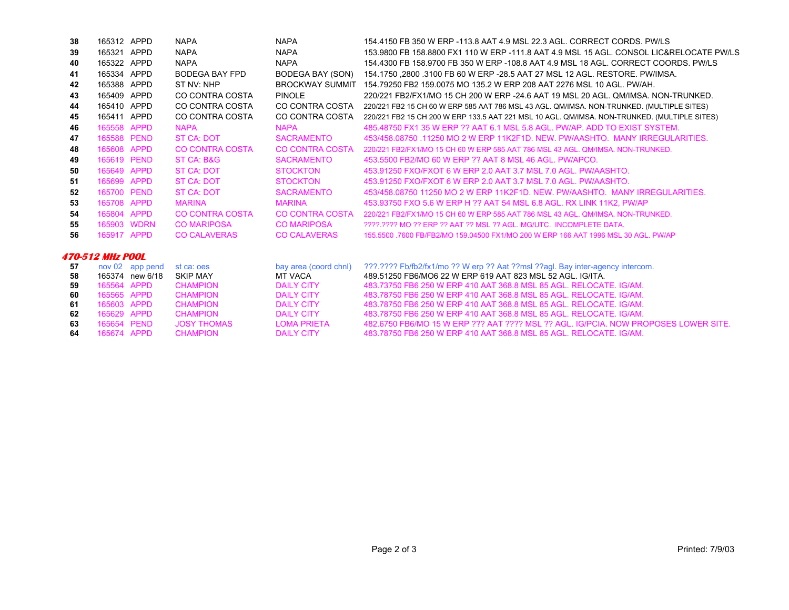| 38 | 165312 APPD             |                 | <b>NAPA</b>            | <b>NAPA</b>           | 154.4150 FB 350 W ERP -113.8 AAT 4.9 MSL 22.3 AGL. CORRECT CORDS. PW/LS                      |
|----|-------------------------|-----------------|------------------------|-----------------------|----------------------------------------------------------------------------------------------|
| 39 | 165321 APPD             |                 | <b>NAPA</b>            | <b>NAPA</b>           | 153,9800 FB 158,8800 FX1 110 W ERP -111.8 AAT 4.9 MSL 15 AGL. CONSOL LIC&RELOCATE PW/LS      |
| 40 | 165322 APPD             |                 | <b>NAPA</b>            | <b>NAPA</b>           | 154,4300 FB 158,9700 FB 350 W ERP -108.8 AAT 4.9 MSL 18 AGL, CORRECT COORDS, PW/LS           |
| 41 | 165334 APPD             |                 | <b>BODEGA BAY FPD</b>  | BODEGA BAY (SON)      | 154.1750 .2800 .3100 FB 60 W ERP -28.5 AAT 27 MSL 12 AGL. RESTORE. PW/IMSA.                  |
| 42 | 165388 APPD             |                 | ST NV: NHP             |                       | BROCKWAY SUMMIT 154.79250 FB2 159.0075 MO 135.2 W ERP 208 AAT 2276 MSL 10 AGL, PW/AH.        |
| 43 | 165409 APPD             |                 | CO CONTRA COSTA        | <b>PINOLE</b>         | 220/221 FB2/FX1/MO 15 CH 200 W ERP -24.6 AAT 19 MSL 20 AGL, QM/IMSA, NON-TRUNKED.            |
| 44 | 165410 APPD             |                 | CO CONTRA COSTA        | CO CONTRA COSTA       | 220/221 FB2 15 CH 60 W ERP 585 AAT 786 MSL 43 AGL. QM/IMSA. NON-TRUNKED. (MULTIPLE SITES)    |
| 45 | 165411 APPD             |                 | CO CONTRA COSTA        | CO CONTRA COSTA       | 220/221 FB2 15 CH 200 W ERP 133.5 AAT 221 MSL 10 AGL. QM/IMSA. NON-TRUNKED. (MULTIPLE SITES) |
| 46 | 165558 APPD             |                 | <b>NAPA</b>            | <b>NAPA</b>           | 485,48750 FX1 35 W ERP ?? AAT 6.1 MSL 5.8 AGL, PW/AP, ADD TO EXIST SYSTEM.                   |
| 47 | 165588 PEND             |                 | ST CA: DOT             | <b>SACRAMENTO</b>     | 453/458.08750 .11250 MO 2 W ERP 11K2F1D. NEW. PW/AASHTO. MANY IRREGULARITIES.                |
| 48 | 165608 APPD             |                 | <b>CO CONTRA COSTA</b> | CO CONTRA COSTA       | 220/221 FB2/FX1/MO 15 CH 60 W ERP 585 AAT 786 MSL 43 AGL, OM/IMSA, NON-TRUNKED.              |
| 49 | 165619 PEND             |                 | ST CA: B&G             | <b>SACRAMENTO</b>     | 453,5500 FB2/MO 60 W ERP ?? AAT 8 MSL 46 AGL, PW/APCO.                                       |
| 50 | 165649 APPD             |                 | ST CA: DOT             | <b>STOCKTON</b>       | 453,91250 FXO/FXOT 6 W ERP 2.0 AAT 3.7 MSL 7.0 AGL, PW/AASHTO.                               |
| 51 | 165699 APPD             |                 | <b>ST CA: DOT</b>      | <b>STOCKTON</b>       | 453.91250 FXO/FXOT 6 W ERP 2.0 AAT 3.7 MSL 7.0 AGL, PW/AASHTO.                               |
| 52 | 165700 PEND             |                 | <b>ST CA: DOT</b>      | <b>SACRAMENTO</b>     | 453/458.08750 11250 MO 2 W ERP 11K2F1D, NEW, PW/AASHTO, MANY IRREGULARITIES.                 |
| 53 | 165708 APPD             |                 | <b>MARINA</b>          | <b>MARINA</b>         | 453.93750 FXO 5.6 W ERP H ?? AAT 54 MSL 6.8 AGL, RX LINK 11K2, PW/AP                         |
| 54 | 165804 APPD             |                 | <b>CO CONTRA COSTA</b> | CO CONTRA COSTA       | 220/221 FB2/FX1/MO 15 CH 60 W ERP 585 AAT 786 MSL 43 AGL, OM/IMSA, NON-TRUNKED.              |
| 55 | 165903 WDRN             |                 | <b>CO MARIPOSA</b>     | <b>CO MARIPOSA</b>    | 2222.2222 MO 22 ERP 22 AAT 22 MSL 22 AGL. MG/UTC. INCOMPLETE DATA.                           |
| 56 | 165917 APPD             |                 | <b>CO CALAVERAS</b>    | <b>CO CALAVERAS</b>   | 155,5500 .7600 FB/FB2/MO 159,04500 FX1/MO 200 W ERP 166 AAT 1996 MSL 30 AGL. PW/AP           |
|    | <b>470-512 MHz POOL</b> |                 |                        |                       |                                                                                              |
| 57 |                         | nov 02 app pend | st ca: oes             | bay area (coord chnl) | ???.???? Fb/fb2/fx1/mo ?? W erp ?? Aat ??msl ??agl. Bay inter-agency intercom.               |
| 58 |                         | 165374 new 6/18 | <b>SKIP MAY</b>        | <b>MT VACA</b>        | 489.51250 FB6/MO6 22 W ERP 619 AAT 823 MSL 52 AGL, IG/ITA.                                   |
| 59 | 165564 APPD             |                 | <b>CHAMPION</b>        | <b>DAILY CITY</b>     | 483.73750 FB6 250 W ERP 410 AAT 368.8 MSL 85 AGL. RELOCATE, IG/AM.                           |
| 60 | 165565 APPD             |                 | <b>CHAMPION</b>        | <b>DAILY CITY</b>     | 483.78750 FB6 250 W ERP 410 AAT 368.8 MSL 85 AGL, RELOCATE, IG/AM.                           |
| 61 | 165603 APPD             |                 | <b>CHAMPION</b>        | <b>DAILY CITY</b>     | 483.78750 FB6 250 W ERP 410 AAT 368.8 MSL 85 AGL, RELOCATE, IG/AM.                           |
| 62 | 165629 APPD             |                 | <b>CHAMPION</b>        | <b>DAILY CITY</b>     | 483.78750 FB6 250 W ERP 410 AAT 368.8 MSL 85 AGL. RELOCATE. IG/AM.                           |

482.6750 FB6/MO 15 W ERP ??? AAT ???? MSL ?? AGL. IG/PCIA. NOW PROPOSES LOWER SITE.

483.78750 FB6 250 W ERP 410 AAT 368.8 MSL 85 AGL. RELOCATE. IG/AM.

**63**

**64**

165654 PEND JOSY THOMAS LOMA PRIETA

165674 APPD CHAMPION DAILY CITY